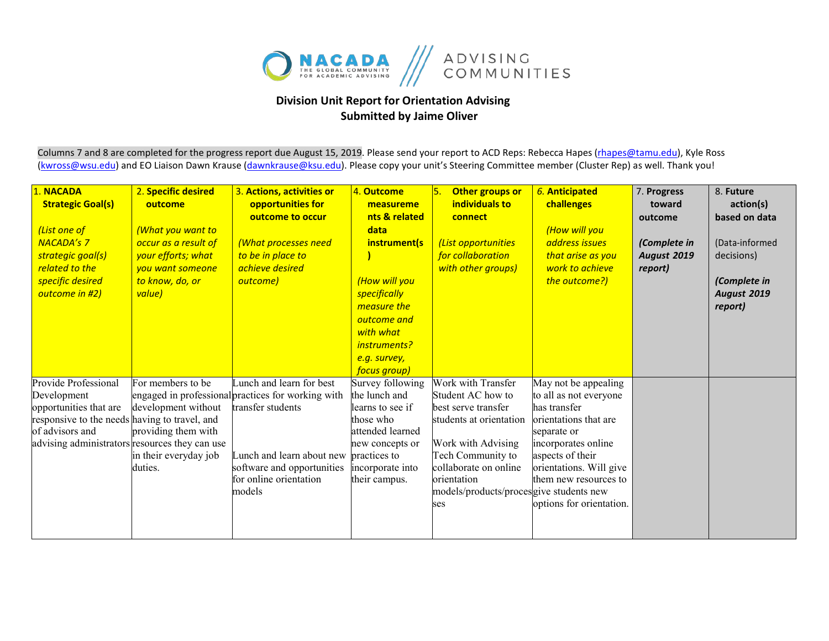

## **Division Unit Report for Orientation Advising Submitted by Jaime Oliver**

Columns 7 and 8 are completed for the progress report due August 15, 2019. Please send your report to ACD Reps: Rebecca Hapes (rhapes@tamu.edu), Kyle Ross [\(kwross@wsu.edu\)](mailto:kwross@wsu.edu) and EO Liaison Dawn Krause (dawnkrause@ksu.edu). Please copy your unit's Steering Committee member (Cluster Rep) as well. Thank you!

| 1. NACADA<br><b>Strategic Goal(s)</b><br>(List one of<br><b>NACADA's 7</b><br>strategic goal(s)<br>related to the<br>specific desired<br>outcome in #2)                             | 2. Specific desired<br>outcome<br><b>What you want to</b><br>occur as a result of<br>your efforts; what<br>you want someone<br>to know, do, or<br>value) | 3. Actions, activities or<br>opportunities for<br>outcome to occur<br>(What processes need<br>to be in place to<br>achieve desired<br>outcome)                                                     | 4. Outcome<br>measureme<br>nts & related<br>data<br>instrument(s<br>(How will you<br>specifically<br>measure the<br>outcome and<br>with what<br>instruments?<br>e.g. survey,   | Other groups or<br>individuals to<br>connect<br>(List opportunities<br>for collaboration<br>with other groups)                                                                                                                 | 6. Anticipated<br>challenges<br>(How will you<br>address issues<br>that arise as you<br>work to achieve<br>the outcome?)                                                                                                          | 7. Progress<br>toward<br>outcome<br>(Complete in<br><b>August 2019</b><br>report) | 8. Future<br>action(s)<br>based on data<br>(Data-informed<br>decisions)<br>(Complete in<br><b>August 2019</b><br>report) |
|-------------------------------------------------------------------------------------------------------------------------------------------------------------------------------------|----------------------------------------------------------------------------------------------------------------------------------------------------------|----------------------------------------------------------------------------------------------------------------------------------------------------------------------------------------------------|--------------------------------------------------------------------------------------------------------------------------------------------------------------------------------|--------------------------------------------------------------------------------------------------------------------------------------------------------------------------------------------------------------------------------|-----------------------------------------------------------------------------------------------------------------------------------------------------------------------------------------------------------------------------------|-----------------------------------------------------------------------------------|--------------------------------------------------------------------------------------------------------------------------|
| Provide Professional<br>Development<br>opportunities that are<br>responsive to the needs having to travel, and<br>of advisors and<br>advising administrators resources they can use | For members to be<br>development without<br>providing them with<br>in their everyday job<br>duties.                                                      | Lunch and learn for best<br>engaged in professional practices for working with<br>transfer students<br>Lunch and learn about new<br>software and opportunities<br>for online orientation<br>models | focus group)<br>Survey following<br>the lunch and<br>learns to see if<br>those who<br>attended learned<br>new concepts or<br>practices to<br>incorporate into<br>their campus. | Work with Transfer<br>Student AC how to<br>best serve transfer<br>students at orientation<br>Work with Advising<br>Tech Community to<br>collaborate on online<br>orientation<br>models/products/procesgive students new<br>ses | May not be appealing<br>to all as not everyone<br>has transfer<br>orientations that are<br>separate or<br>incorporates online<br>aspects of their<br>orientations. Will give<br>them new resources to<br>options for orientation. |                                                                                   |                                                                                                                          |